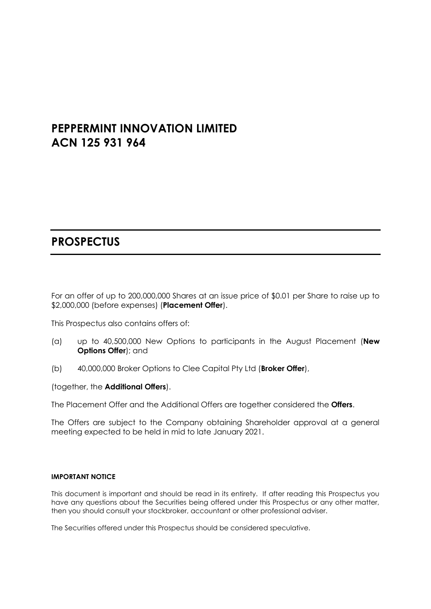# **PEPPERMINT INNOVATION LIMITED ACN 125 931 964**

# **PROSPECTUS**

For an offer of up to 200,000,000 Shares at an issue price of \$0.01 per Share to raise up to \$2,000,000 (before expenses) (**Placement Offer**).

This Prospectus also contains offers of:

- (a) up to 40,500,000 New Options to participants in the August Placement (**New Options Offer**); and
- (b) 40,000,000 Broker Options to Clee Capital Pty Ltd (**Broker Offer**),

(together, the **Additional Offers**).

The Placement Offer and the Additional Offers are together considered the **Offers**.

The Offers are subject to the Company obtaining Shareholder approval at a general meeting expected to be held in mid to late January 2021.

#### **IMPORTANT NOTICE**

This document is important and should be read in its entirety. If after reading this Prospectus you have any questions about the Securities being offered under this Prospectus or any other matter, then you should consult your stockbroker, accountant or other professional adviser.

The Securities offered under this Prospectus should be considered speculative.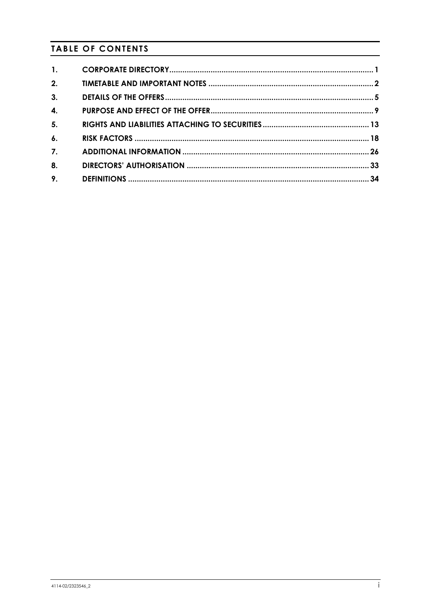## **TABLE OF CONTENTS**

| $\mathbf{1}$ .     |  |
|--------------------|--|
|                    |  |
| 2.                 |  |
| 3.                 |  |
| 4.                 |  |
| 5.                 |  |
| $\boldsymbol{6}$ . |  |
| $\overline{7}$ .   |  |
| 8.                 |  |
| 9.                 |  |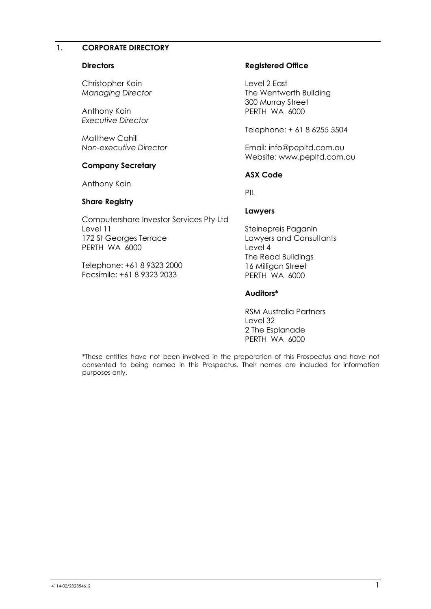#### **1. CORPORATE DIRECTORY**

#### **Directors**

Christopher Kain *Managing Director*

Anthony Kain *Executive Director*

Matthew Cahill *Non-executive Director*

#### **Company Secretary**

Anthony Kain

#### **Share Registry**

Computershare Investor Services Pty Ltd Level 11 172 St Georges Terrace PERTH WA 6000

Telephone: +61 8 9323 2000 Facsimile: +61 8 9323 2033

#### **Registered Office**

Level 2 East The Wentworth Building 300 Murray Street PERTH WA 6000

Telephone: + 61 8 6255 5504

Email: info@pepltd.com.au Website: www.pepltd.com.au

#### **ASX Code**

PIL

#### **Lawyers**

Steinepreis Paganin Lawyers and Consultants Level 4 The Read Buildings 16 Milligan Street PERTH WA 6000

#### **Auditors\***

RSM Australia Partners Level 32 2 The Esplanade PERTH WA 6000

\*These entities have not been involved in the preparation of this Prospectus and have not consented to being named in this Prospectus. Their names are included for information purposes only.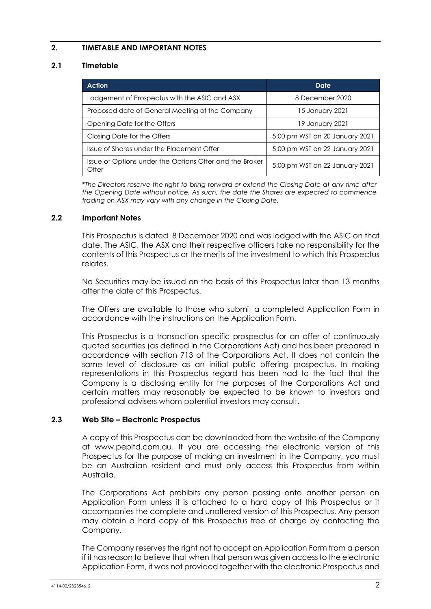## **2. TIMETABLE AND IMPORTANT NOTES**

#### <span id="page-3-0"></span>**2.1 Timetable**

| <b>Action</b>                                                    | Date                           |
|------------------------------------------------------------------|--------------------------------|
| Lodgement of Prospectus with the ASIC and ASX                    | 8 December 2020                |
| Proposed date of General Meeting of the Company                  | 15 January 2021                |
| Opening Date for the Offers                                      | 19 January 2021                |
| Closing Date for the Offers                                      | 5:00 pm WST on 20 January 2021 |
| Issue of Shares under the Placement Offer                        | 5:00 pm WST on 22 January 2021 |
| Issue of Options under the Options Offer and the Broker<br>Offer | 5:00 pm WST on 22 January 2021 |

\**The Directors reserve the right to bring forward or extend the Closing Date at any time after the Opening Date without notice. As such, the date the Shares are expected to commence trading on ASX may vary with any change in the Closing Date.*

#### **2.2 Important Notes**

This Prospectus is dated 8 December 2020 and was lodged with the ASIC on that date. The ASIC, the ASX and their respective officers take no responsibility for the contents of this Prospectus or the merits of the investment to which this Prospectus relates.

No Securities may be issued on the basis of this Prospectus later than 13 months after the date of this Prospectus.

The Offers are available to those who submit a completed Application Form in accordance with the instructions on the Application Form.

This Prospectus is a transaction specific prospectus for an offer of continuously quoted securities (as defined in the Corporations Act) and has been prepared in accordance with section 713 of the Corporations Act. It does not contain the same level of disclosure as an initial public offering prospectus. In making representations in this Prospectus regard has been had to the fact that the Company is a disclosing entity for the purposes of the Corporations Act and certain matters may reasonably be expected to be known to investors and professional advisers whom potential investors may consult.

#### **2.3 Web Site – Electronic Prospectus**

A copy of this Prospectus can be downloaded from the website of the Company at www.pepltd.com.au. If you are accessing the electronic version of this Prospectus for the purpose of making an investment in the Company, you must be an Australian resident and must only access this Prospectus from within Australia.

The Corporations Act prohibits any person passing onto another person an Application Form unless it is attached to a hard copy of this Prospectus or it accompanies the complete and unaltered version of this Prospectus. Any person may obtain a hard copy of this Prospectus free of charge by contacting the Company.

The Company reserves the right not to accept an Application Form from a person if it has reason to believe that when that person was given access to the electronic Application Form, it was not provided together with the electronic Prospectus and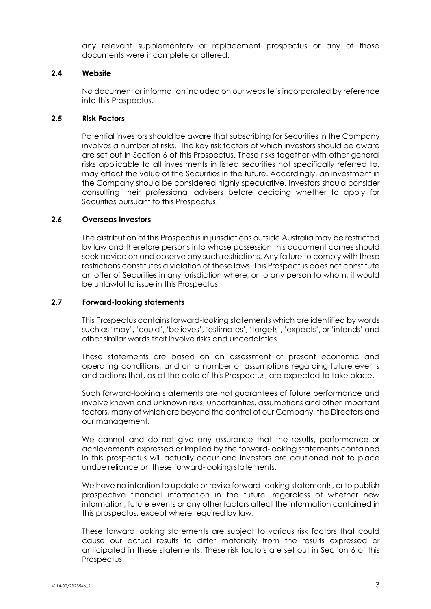any relevant supplementary or replacement prospectus or any of those documents were incomplete or altered.

#### **2.4 Website**

No document or information included on our website is incorporated by reference into this Prospectus.

#### **2.5 Risk Factors**

Potential investors should be aware that subscribing for Securities in the Company involves a number of risks. The key risk factors of which investors should be aware are set out in Section [6](#page-19-0) of this Prospectus. These risks together with other general risks applicable to all investments in listed securities not specifically referred to, may affect the value of the Securities in the future. Accordingly, an investment in the Company should be considered highly speculative. Investors should consider consulting their professional advisers before deciding whether to apply for Securities pursuant to this Prospectus.

#### **2.6 Overseas Investors**

The distribution of this Prospectus in jurisdictions outside Australia may be restricted by law and therefore persons into whose possession this document comes should seek advice on and observe any such restrictions. Any failure to comply with these restrictions constitutes a violation of those laws. This Prospectus does not constitute an offer of Securities in any jurisdiction where, or to any person to whom, it would be unlawful to issue in this Prospectus.

#### **2.7 Forward-looking statements**

This Prospectus contains forward-looking statements which are identified by words such as 'may', 'could', 'believes', 'estimates', 'targets', 'expects', or 'intends' and other similar words that involve risks and uncertainties.

These statements are based on an assessment of present economic and operating conditions, and on a number of assumptions regarding future events and actions that, as at the date of this Prospectus, are expected to take place.

Such forward-looking statements are not guarantees of future performance and involve known and unknown risks, uncertainties, assumptions and other important factors, many of which are beyond the control of our Company, the Directors and our management.

We cannot and do not give any assurance that the results, performance or achievements expressed or implied by the forward-looking statements contained in this prospectus will actually occur and investors are cautioned not to place undue reliance on these forward-looking statements.

We have no intention to update or revise forward-looking statements, or to publish prospective financial information in the future, regardless of whether new information, future events or any other factors affect the information contained in this prospectus, except where required by law.

These forward looking statements are subject to various risk factors that could cause our actual results to differ materially from the results expressed or anticipated in these statements. These risk factors are set out in Section [6](#page-19-0) of this Prospectus.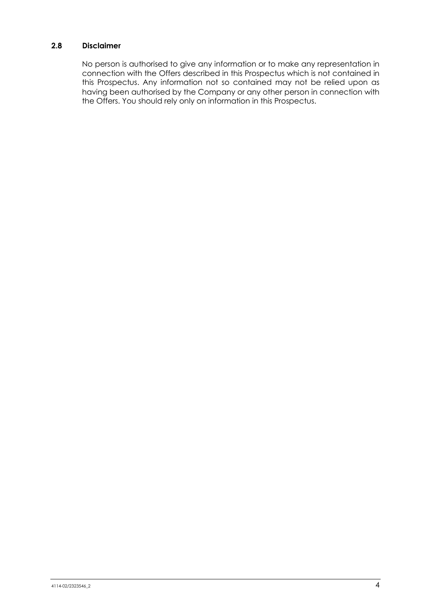## **2.8 Disclaimer**

No person is authorised to give any information or to make any representation in connection with the Offers described in this Prospectus which is not contained in this Prospectus. Any information not so contained may not be relied upon as having been authorised by the Company or any other person in connection with the Offers. You should rely only on information in this Prospectus.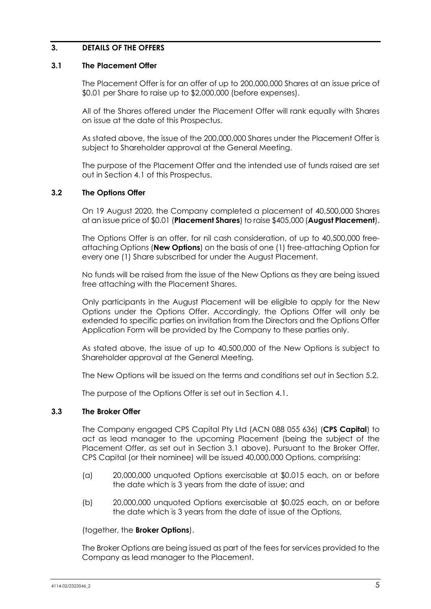#### **3. DETAILS OF THE OFFERS**

#### <span id="page-6-2"></span>**3.1 The Placement Offer**

The Placement Offer is for an offer of up to 200,000,000 Shares at an issue price of \$0.01 per Share to raise up to \$2,000,000 (before expenses).

All of the Shares offered under the Placement Offer will rank equally with Shares on issue at the date of this Prospectus.

As stated above, the issue of the 200,000,000 Shares under the Placement Offer is subject to Shareholder approval at the General Meeting.

The purpose of the Placement Offer and the intended use of funds raised are set out in Section 4.1 of this Prospectus.

#### <span id="page-6-1"></span>**3.2 The Options Offer**

On 19 August 2020, the Company completed a placement of 40,500,000 Shares at an issue price of \$0.01 (**Placement Shares**) to raise \$405,000 (**August Placement**).

The Options Offer is an offer, for nil cash consideration, of up to 40,500,000 freeattaching Options (**New Options**) on the basis of one (1) free-attaching Option for every one (1) Share subscribed for under the August Placement.

No funds will be raised from the issue of the New Options as they are being issued free attaching with the Placement Shares.

Only participants in the August Placement will be eligible to apply for the New Options under the Options Offer. Accordingly, the Options Offer will only be extended to specific parties on invitation from the Directors and the Options Offer Application Form will be provided by the Company to these parties only.

As stated above, the issue of up to 40,500,000 of the New Options is subject to Shareholder approval at the General Meeting.

The New Options will be issued on the terms and conditions set out in Section 5.2.

The purpose of the Options Offer is set out in Section [4.1.](#page-10-0)

#### <span id="page-6-0"></span>**3.3 The Broker Offer**

The Company engaged CPS Capital Pty Ltd (ACN 088 055 636) (**CPS Capital**) to act as lead manager to the upcoming Placement (being the subject of the Placement Offer, as set out in Section 3.1 above). Pursuant to the Broker Offer, CPS Capital (or their nominee) will be issued 40,000,000 Options, comprising:

- (a) 20,000,000 unquoted Options exercisable at \$0.015 each, on or before the date which is 3 years from the date of issue; and
- (b) 20,000,000 unquoted Options exercisable at \$0.025 each, on or before the date which is 3 years from the date of issue of the Options,

#### (together, the **Broker Options**).

The Broker Options are being issued as part of the fees for services provided to the Company as lead manager to the Placement.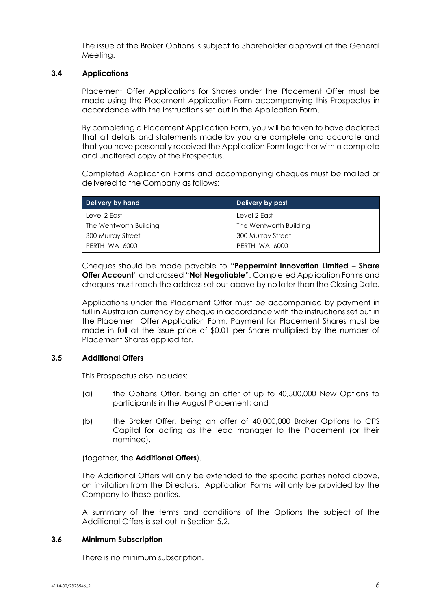The issue of the Broker Options is subject to Shareholder approval at the General Meeting.

#### **3.4 Applications**

Placement Offer Applications for Shares under the Placement Offer must be made using the Placement Application Form accompanying this Prospectus in accordance with the instructions set out in the Application Form.

By completing a Placement Application Form, you will be taken to have declared that all details and statements made by you are complete and accurate and that you have personally received the Application Form together with a complete and unaltered copy of the Prospectus.

Completed Application Forms and accompanying cheques must be mailed or delivered to the Company as follows:

| Delivery by hand       | <b>Delivery by post</b> |
|------------------------|-------------------------|
| Level 2 East           | Level 2 East            |
| The Wentworth Building | The Wentworth Building  |
| 300 Murray Street      | 300 Murray Street       |
| PERTH WA 6000          | PERTH WA 6000           |

Cheques should be made payable to "**Peppermint Innovation Limited – Share Offer Account**" and crossed "**Not Negotiable**". Completed Application Forms and cheques must reach the address set out above by no later than the Closing Date.

Applications under the Placement Offer must be accompanied by payment in full in Australian currency by cheque in accordance with the instructions set out in the Placement Offer Application Form. Payment for Placement Shares must be made in full at the issue price of \$0.01 per Share multiplied by the number of Placement Shares applied for.

#### **3.5 Additional Offers**

This Prospectus also includes:

- (a) the Options Offer, being an offer of up to 40,500,000 New Options to participants in the August Placement; and
- (b) the Broker Offer, being an offer of 40,000,000 Broker Options to CPS Capital for acting as the lead manager to the Placement (or their nominee),

(together, the **Additional Offers**).

The Additional Offers will only be extended to the specific parties noted above, on invitation from the Directors. Application Forms will only be provided by the Company to these parties.

A summary of the terms and conditions of the Options the subject of the Additional Offers is set out in Section [5.2.](#page-16-0)

#### **3.6 Minimum Subscription**

There is no minimum subscription.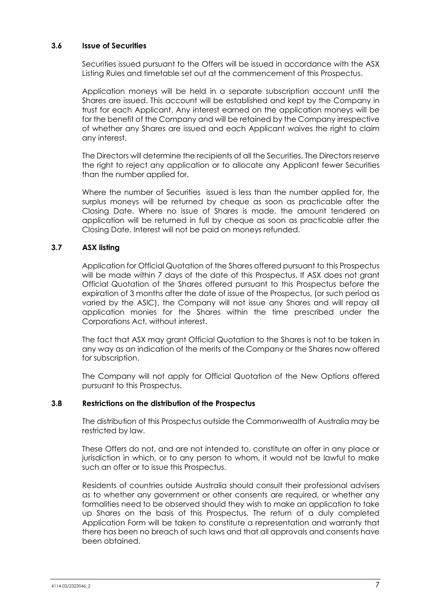#### **3.6 Issue of Securities**

Securities issued pursuant to the Offers will be issued in accordance with the ASX Listing Rules and timetable set out at the commencement of this Prospectus.

Application moneys will be held in a separate subscription account until the Shares are issued. This account will be established and kept by the Company in trust for each Applicant. Any interest earned on the application moneys will be for the benefit of the Company and will be retained by the Company irrespective of whether any Shares are issued and each Applicant waives the right to claim any interest.

The Directors will determine the recipients of all the Securities. The Directors reserve the right to reject any application or to allocate any Applicant fewer Securities than the number applied for.

Where the number of Securities issued is less than the number applied for, the surplus moneys will be returned by cheque as soon as practicable after the Closing Date. Where no issue of Shares is made, the amount tendered on application will be returned in full by cheque as soon as practicable after the Closing Date. Interest will not be paid on moneys refunded.

#### **3.7 ASX listing**

Application for Official Quotation of the Shares offered pursuant to this Prospectus will be made within 7 days of the date of this Prospectus. If ASX does not grant Official Quotation of the Shares offered pursuant to this Prospectus before the expiration of 3 months after the date of issue of the Prospectus, (or such period as varied by the ASIC), the Company will not issue any Shares and will repay all application monies for the Shares within the time prescribed under the Corporations Act, without interest.

The fact that ASX may grant Official Quotation to the Shares is not to be taken in any way as an indication of the merits of the Company or the Shares now offered for subscription.

The Company will not apply for Official Quotation of the New Options offered pursuant to this Prospectus.

#### **3.8 Restrictions on the distribution of the Prospectus**

The distribution of this Prospectus outside the Commonwealth of Australia may be restricted by law.

These Offers do not, and are not intended to, constitute an offer in any place or jurisdiction in which, or to any person to whom, it would not be lawful to make such an offer or to issue this Prospectus.

Residents of countries outside Australia should consult their professional advisers as to whether any government or other consents are required, or whether any formalities need to be observed should they wish to make an application to take up Shares on the basis of this Prospectus. The return of a duly completed Application Form will be taken to constitute a representation and warranty that there has been no breach of such laws and that all approvals and consents have been obtained.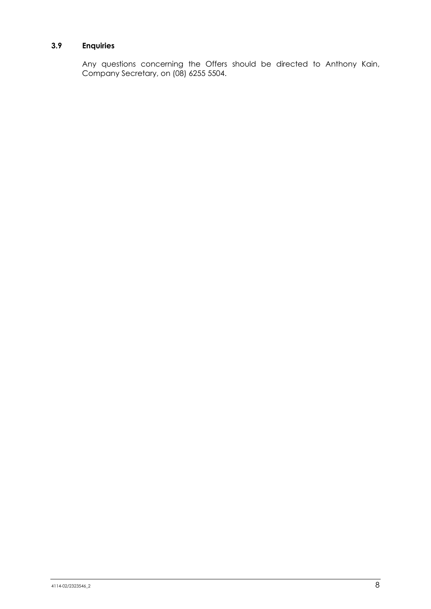## **3.9 Enquiries**

Any questions concerning the Offers should be directed to Anthony Kain, Company Secretary, on (08) 6255 5504.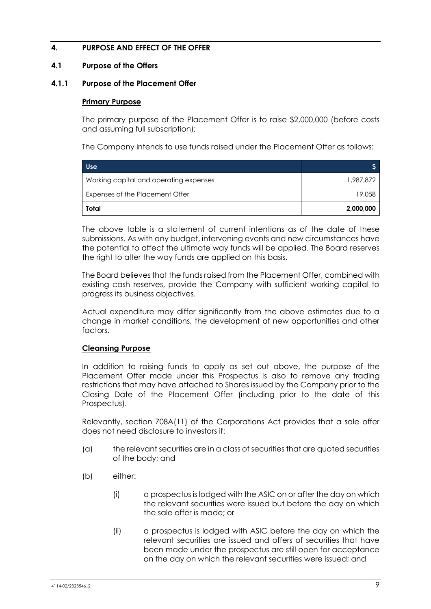## **4. PURPOSE AND EFFECT OF THE OFFER**

#### <span id="page-10-0"></span>**4.1 Purpose of the Offers**

#### **4.1.1 Purpose of the Placement Offer**

#### **Primary Purpose**

The primary purpose of the Placement Offer is to raise \$2,000,000 (before costs and assuming full subscription);

The Company intends to use funds raised under the Placement Offer as follows:

| Use                                    |           |
|----------------------------------------|-----------|
| Working capital and operating expenses | 1,987,872 |
| Expenses of the Placement Offer        | 19,058    |
| Total                                  | 2,000,000 |

The above table is a statement of current intentions as of the date of these submissions. As with any budget, intervening events and new circumstances have the potential to affect the ultimate way funds will be applied. The Board reserves the right to alter the way funds are applied on this basis.

The Board believes that the funds raised from the Placement Offer, combined with existing cash reserves, provide the Company with sufficient working capital to progress its business objectives.

Actual expenditure may differ significantly from the above estimates due to a change in market conditions, the development of new opportunities and other factors.

#### **Cleansing Purpose**

In addition to raising funds to apply as set out above, the purpose of the Placement Offer made under this Prospectus is also to remove any trading restrictions that may have attached to Shares issued by the Company prior to the Closing Date of the Placement Offer (including prior to the date of this Prospectus).

Relevantly, section 708A(11) of the Corporations Act provides that a sale offer does not need disclosure to investors if:

- (a) the relevant securities are in a class of securities that are quoted securities of the body; and
- (b) either:
	- (i) a prospectus is lodged with the ASIC on or after the day on which the relevant securities were issued but before the day on which the sale offer is made; or
	- (ii) a prospectus is lodged with ASIC before the day on which the relevant securities are issued and offers of securities that have been made under the prospectus are still open for acceptance on the day on which the relevant securities were issued; and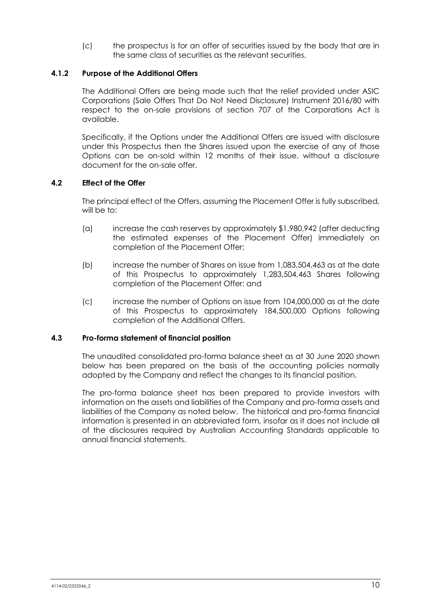(c) the prospectus is for an offer of securities issued by the body that are in the same class of securities as the relevant securities.

#### **4.1.2 Purpose of the Additional Offers**

The Additional Offers are being made such that the relief provided under ASIC Corporations (Sale Offers That Do Not Need Disclosure) Instrument 2016/80 with respect to the on-sale provisions of section 707 of the Corporations Act is available.

Specifically, if the Options under the Additional Offers are issued with disclosure under this Prospectus then the Shares issued upon the exercise of any of those Options can be on-sold within 12 months of their issue, without a disclosure document for the on-sale offer.

## **4.2 Effect of the Offer**

The principal effect of the Offers, assuming the Placement Offer is fully subscribed, will be to:

- (a) increase the cash reserves by approximately \$1,980,942 (after deducting the estimated expenses of the Placement Offer) immediately on completion of the Placement Offer;
- (b) increase the number of Shares on issue from 1,083,504,463 as at the date of this Prospectus to approximately 1,283,504,463 Shares following completion of the Placement Offer; and
- (c) increase the number of Options on issue from 104,000,000 as at the date of this Prospectus to approximately 184,500,000 Options following completion of the Additional Offers.

#### **4.3 Pro-forma statement of financial position**

The unaudited consolidated pro-forma balance sheet as at 30 June 2020 shown below has been prepared on the basis of the accounting policies normally adopted by the Company and reflect the changes to its financial position.

The pro-forma balance sheet has been prepared to provide investors with information on the assets and liabilities of the Company and pro-forma assets and liabilities of the Company as noted below. The historical and pro-forma financial information is presented in an abbreviated form, insofar as it does not include all of the disclosures required by Australian Accounting Standards applicable to annual financial statements.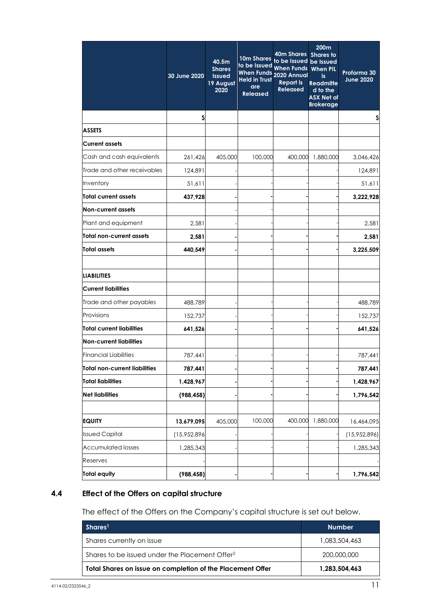|                                  | 30 June 2020 | 40.5m<br><b>Shares</b><br><b>Issued</b><br>19 August<br>2020 | 10m Shares<br>to be Issued<br>When Funds 2020 Annual<br><b>Held in Trust</b><br><b>are</b><br><b>Released</b> | 40m Shares<br>to be Issued be Issued<br>When Funds When PIL<br><b>Report is</b><br><b>Released</b> | 200m<br><b>Shares to</b><br>is.<br><b>Readmitte</b><br>d to the<br><b>ASX Net of</b><br><b>Brokerage</b> | Proforma 30<br><b>June 2020</b> |
|----------------------------------|--------------|--------------------------------------------------------------|---------------------------------------------------------------------------------------------------------------|----------------------------------------------------------------------------------------------------|----------------------------------------------------------------------------------------------------------|---------------------------------|
|                                  | \$           |                                                              |                                                                                                               |                                                                                                    |                                                                                                          |                                 |
| <b>ASSETS</b>                    |              |                                                              |                                                                                                               |                                                                                                    |                                                                                                          |                                 |
| <b>Current assets</b>            |              |                                                              |                                                                                                               |                                                                                                    |                                                                                                          |                                 |
| Cash and cash equivalents        | 261,426      | 405,000                                                      | 100,000                                                                                                       | 400,000                                                                                            | 1,880,000                                                                                                | 3,046,426                       |
| Trade and other receivables      | 124,891      |                                                              |                                                                                                               |                                                                                                    |                                                                                                          | 124,891                         |
| Inventory                        | 51,611       |                                                              |                                                                                                               |                                                                                                    |                                                                                                          | 51,611                          |
| Total current assets             | 437,928      |                                                              |                                                                                                               |                                                                                                    |                                                                                                          | 3,222,928                       |
| Non-current assets               |              |                                                              |                                                                                                               |                                                                                                    |                                                                                                          |                                 |
| Plant and equipment              | 2,581        |                                                              |                                                                                                               |                                                                                                    |                                                                                                          | 2,581                           |
| Total non-current assets         | 2,581        |                                                              |                                                                                                               |                                                                                                    |                                                                                                          | 2,581                           |
| <b>Total assets</b>              | 440.549      |                                                              |                                                                                                               |                                                                                                    |                                                                                                          | 3,225,509                       |
| <b>LIABILITIES</b>               |              |                                                              |                                                                                                               |                                                                                                    |                                                                                                          |                                 |
| <b>Current liabilities</b>       |              |                                                              |                                                                                                               |                                                                                                    |                                                                                                          |                                 |
| Trade and other payables         | 488,789      |                                                              |                                                                                                               |                                                                                                    |                                                                                                          | 488,789                         |
| Provisions                       | 152,737      |                                                              |                                                                                                               |                                                                                                    |                                                                                                          | 152,737                         |
| <b>Total current liabilities</b> | 641,526      |                                                              |                                                                                                               |                                                                                                    |                                                                                                          | 641,526                         |
| <b>Non-current liabilities</b>   |              |                                                              |                                                                                                               |                                                                                                    |                                                                                                          |                                 |
| <b>Financial Liabilities</b>     | 787,441      |                                                              |                                                                                                               |                                                                                                    |                                                                                                          | 787,441                         |
| Total non-current liabilities    | 787,441      |                                                              |                                                                                                               |                                                                                                    |                                                                                                          | 787,441                         |
| <b>Total liabilities</b>         | 1,428,967    |                                                              |                                                                                                               |                                                                                                    |                                                                                                          | 1,428,967                       |
| <b>Net liabilities</b>           | (988, 458)   |                                                              |                                                                                                               |                                                                                                    |                                                                                                          | 1,796,542                       |
| <b>EQUITY</b>                    | 13,679,095   | 405,000                                                      | 100,000                                                                                                       | 400,000                                                                                            | 1,880,000                                                                                                | 16,464,095                      |
| <b>Issued Capital</b>            | (15,952,896  |                                                              |                                                                                                               |                                                                                                    |                                                                                                          | (15,952,896)                    |
| <b>Accumulated losses</b>        | 1,285,343    |                                                              |                                                                                                               |                                                                                                    |                                                                                                          | 1,285,343                       |
| Reserves                         |              |                                                              |                                                                                                               |                                                                                                    |                                                                                                          |                                 |
| <b>Total equity</b>              | (988, 458)   |                                                              |                                                                                                               |                                                                                                    |                                                                                                          | 1,796,542                       |

## **4.4 Effect of the Offers on capital structure**

The effect of the Offers on the Company's capital structure is set out below.

| Shares <sup>1</sup>                                        | <b>Number</b> |
|------------------------------------------------------------|---------------|
| Shares currently on issue                                  | 1.083.504.463 |
| Shares to be issued under the Placement Offer <sup>2</sup> | 200,000,000   |
| Total Shares on issue on completion of the Placement Offer | 1,283,504,463 |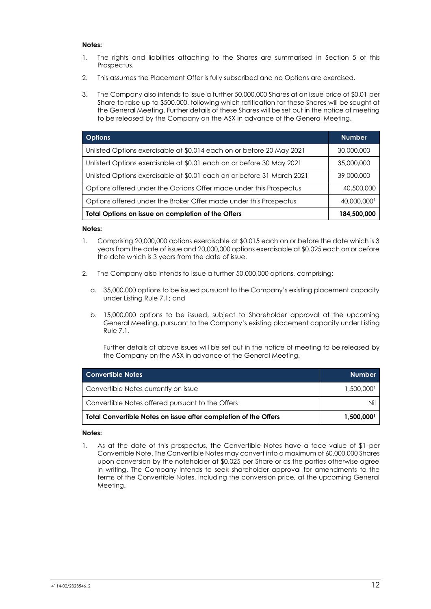#### **Notes:**

- 1. The rights and liabilities attaching to the Shares are summarised in Section [5](#page-14-0) of this Prospectus.
- 2. This assumes the Placement Offer is fully subscribed and no Options are exercised.
- 3. The Company also intends to issue a further 50,000,000 Shares at an issue price of \$0.01 per Share to raise up to \$500,000, following which ratification for these Shares will be sought at the General Meeting. Further details of these Shares will be set out in the notice of meeting to be released by the Company on the ASX in advance of the General Meeting.

| <b>Options</b>                                                         | <b>Number</b> |
|------------------------------------------------------------------------|---------------|
| Unlisted Options exercisable at \$0.014 each on or before 20 May 2021  | 30,000,000    |
| Unlisted Options exercisable at \$0.01 each on or before 30 May 2021   | 35,000,000    |
| Unlisted Options exercisable at \$0.01 each on or before 31 March 2021 | 39,000,000    |
| Options offered under the Options Offer made under this Prospectus     | 40,500,000    |
| Options offered under the Broker Offer made under this Prospectus      | 40,000,000    |
| Total Options on issue on completion of the Offers                     | 184,500,000   |

#### **Notes:**

- 1. Comprising 20,000,000 options exercisable at \$0.015 each on or before the date which is 3 years from the date of issue and 20,000,000 options exercisable at \$0.025 each on or before the date which is 3 years from the date of issue.
- 2. The Company also intends to issue a further 50,000,000 options, comprising:
	- a. 35,000,000 options to be issued pursuant to the Company's existing placement capacity under Listing Rule 7.1; and
	- b. 15,000,000 options to be issued, subject to Shareholder approval at the upcoming General Meeting, pursuant to the Company's existing placement capacity under Listing Rule 7.1.

Further details of above issues will be set out in the notice of meeting to be released by the Company on the ASX in advance of the General Meeting.

| <b>Convertible Notes</b>                                               | <b>Number</b> |
|------------------------------------------------------------------------|---------------|
| Convertible Notes currently on issue                                   | 1,500,000     |
| Convertible Notes offered pursuant to the Offers                       | Nil           |
| $\mid$ Total Convertible Notes on issue after completion of the Offers | 1,500,000     |

#### **Notes:**

1. As at the date of this prospectus, the Convertible Notes have a face value of \$1 per Convertible Note. The Convertible Notes may convert into a maximum of 60,000,000 Shares upon conversion by the noteholder at \$0.025 per Share or as the parties otherwise agree in writing. The Company intends to seek shareholder approval for amendments to the terms of the Convertible Notes, including the conversion price, at the upcoming General Meeting.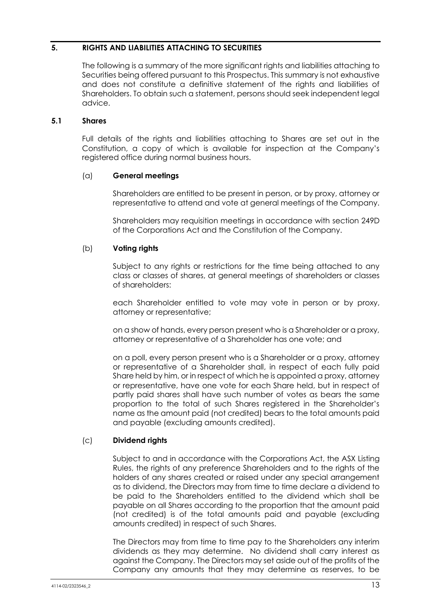## <span id="page-14-0"></span>**5. RIGHTS AND LIABILITIES ATTACHING TO SECURITIES**

The following is a summary of the more significant rights and liabilities attaching to Securities being offered pursuant to this Prospectus. This summary is not exhaustive and does not constitute a definitive statement of the rights and liabilities of Shareholders. To obtain such a statement, persons should seek independent legal advice.

#### **5.1 Shares**

Full details of the rights and liabilities attaching to Shares are set out in the Constitution, a copy of which is available for inspection at the Company's registered office during normal business hours.

## (a) **General meetings**

Shareholders are entitled to be present in person, or by proxy, attorney or representative to attend and vote at general meetings of the Company.

Shareholders may requisition meetings in accordance with section 249D of the Corporations Act and the Constitution of the Company.

## (b) **Voting rights**

Subject to any rights or restrictions for the time being attached to any class or classes of shares, at general meetings of shareholders or classes of shareholders:

each Shareholder entitled to vote may vote in person or by proxy, attorney or representative;

on a show of hands, every person present who is a Shareholder or a proxy, attorney or representative of a Shareholder has one vote; and

on a poll, every person present who is a Shareholder or a proxy, attorney or representative of a Shareholder shall, in respect of each fully paid Share held by him, or in respect of which he is appointed a proxy, attorney or representative, have one vote for each Share held, but in respect of partly paid shares shall have such number of votes as bears the same proportion to the total of such Shares registered in the Shareholder's name as the amount paid (not credited) bears to the total amounts paid and payable (excluding amounts credited).

## (c) **Dividend rights**

Subject to and in accordance with the Corporations Act, the ASX Listing Rules, the rights of any preference Shareholders and to the rights of the holders of any shares created or raised under any special arrangement as to dividend, the Directors may from time to time declare a dividend to be paid to the Shareholders entitled to the dividend which shall be payable on all Shares according to the proportion that the amount paid (not credited) is of the total amounts paid and payable (excluding amounts credited) in respect of such Shares.

The Directors may from time to time pay to the Shareholders any interim dividends as they may determine. No dividend shall carry interest as against the Company. The Directors may set aside out of the profits of the Company any amounts that they may determine as reserves, to be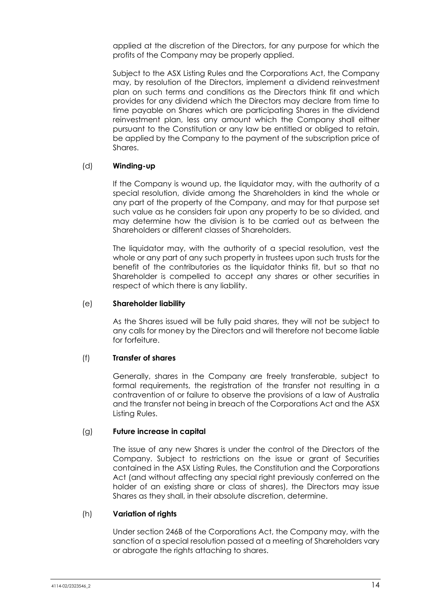applied at the discretion of the Directors, for any purpose for which the profits of the Company may be properly applied.

Subject to the ASX Listing Rules and the Corporations Act, the Company may, by resolution of the Directors, implement a dividend reinvestment plan on such terms and conditions as the Directors think fit and which provides for any dividend which the Directors may declare from time to time payable on Shares which are participating Shares in the dividend reinvestment plan, less any amount which the Company shall either pursuant to the Constitution or any law be entitled or obliged to retain, be applied by the Company to the payment of the subscription price of Shares.

#### (d) **Winding-up**

If the Company is wound up, the liquidator may, with the authority of a special resolution, divide among the Shareholders in kind the whole or any part of the property of the Company, and may for that purpose set such value as he considers fair upon any property to be so divided, and may determine how the division is to be carried out as between the Shareholders or different classes of Shareholders.

The liquidator may, with the authority of a special resolution, vest the whole or any part of any such property in trustees upon such trusts for the benefit of the contributories as the liquidator thinks fit, but so that no Shareholder is compelled to accept any shares or other securities in respect of which there is any liability.

#### (e) **Shareholder liability**

As the Shares issued will be fully paid shares, they will not be subject to any calls for money by the Directors and will therefore not become liable for forfeiture.

#### (f) **Transfer of shares**

Generally, shares in the Company are freely transferable, subject to formal requirements, the registration of the transfer not resulting in a contravention of or failure to observe the provisions of a law of Australia and the transfer not being in breach of the Corporations Act and the ASX Listing Rules.

#### (g) **Future increase in capital**

The issue of any new Shares is under the control of the Directors of the Company. Subject to restrictions on the issue or grant of Securities contained in the ASX Listing Rules, the Constitution and the Corporations Act (and without affecting any special right previously conferred on the holder of an existing share or class of shares), the Directors may issue Shares as they shall, in their absolute discretion, determine.

#### (h) **Variation of rights**

Under section 246B of the Corporations Act, the Company may, with the sanction of a special resolution passed at a meeting of Shareholders vary or abrogate the rights attaching to shares.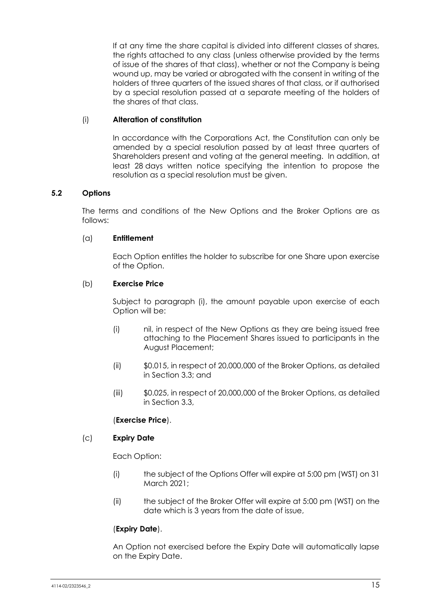If at any time the share capital is divided into different classes of shares, the rights attached to any class (unless otherwise provided by the terms of issue of the shares of that class), whether or not the Company is being wound up, may be varied or abrogated with the consent in writing of the holders of three quarters of the issued shares of that class, or if authorised by a special resolution passed at a separate meeting of the holders of the shares of that class.

## (i) **Alteration of constitution**

In accordance with the Corporations Act, the Constitution can only be amended by a special resolution passed by at least three quarters of Shareholders present and voting at the general meeting. In addition, at least 28 days written notice specifying the intention to propose the resolution as a special resolution must be given.

## <span id="page-16-0"></span>**5.2 Options**

The terms and conditions of the New Options and the Broker Options are as follows:

#### (a) **Entitlement**

Each Option entitles the holder to subscribe for one Share upon exercise of the Option.

## (b) **Exercise Price**

Subject to paragraph [\(i\),](#page-17-0) the amount payable upon exercise of each Option will be:

- (i) nil, in respect of the New Options as they are being issued free attaching to the Placement Shares issued to participants in the August Placement;
- (ii) \$0.015, in respect of 20,000,000 of the Broker Options, as detailed in Section [3.3;](#page-6-0) and
- (iii) \$0.025, in respect of 20,000,000 of the Broker Options, as detailed in Section [3.3,](#page-6-0)

#### (**Exercise Price**).

#### (c) **Expiry Date**

Each Option:

- (i) the subject of the Options Offer will expire at 5:00 pm (WST) on 31 March 2021;
- (ii) the subject of the Broker Offer will expire at 5:00 pm (WST) on the date which is 3 years from the date of issue,

## (**Expiry Date**).

An Option not exercised before the Expiry Date will automatically lapse on the Expiry Date.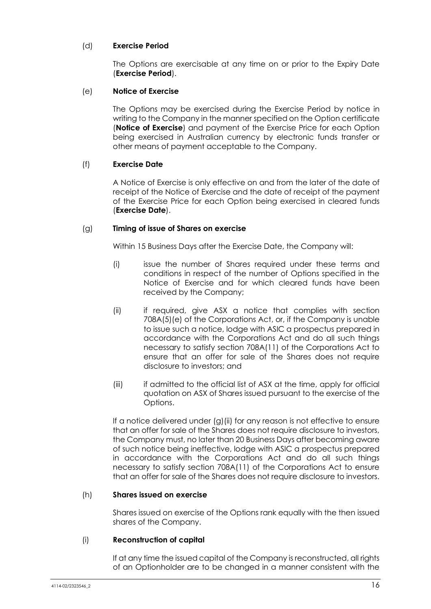## (d) **Exercise Period**

The Options are exercisable at any time on or prior to the Expiry Date (**Exercise Period**).

#### (e) **Notice of Exercise**

The Options may be exercised during the Exercise Period by notice in writing to the Company in the manner specified on the Option certificate (**Notice of Exercise**) and payment of the Exercise Price for each Option being exercised in Australian currency by electronic funds transfer or other means of payment acceptable to the Company.

## (f) **Exercise Date**

A Notice of Exercise is only effective on and from the later of the date of receipt of the Notice of Exercise and the date of receipt of the payment of the Exercise Price for each Option being exercised in cleared funds (**Exercise Date**).

#### <span id="page-17-1"></span>(g) **Timing of issue of Shares on exercise**

Within 15 Business Days after the Exercise Date, the Company will:

- (i) issue the number of Shares required under these terms and conditions in respect of the number of Options specified in the Notice of Exercise and for which cleared funds have been received by the Company;
- <span id="page-17-2"></span>(ii) if required, give ASX a notice that complies with section 708A(5)(e) of the Corporations Act, or, if the Company is unable to issue such a notice, lodge with ASIC a prospectus prepared in accordance with the Corporations Act and do all such things necessary to satisfy section 708A(11) of the Corporations Act to ensure that an offer for sale of the Shares does not require disclosure to investors; and
- (iii) if admitted to the official list of ASX at the time, apply for official quotation on ASX of Shares issued pursuant to the exercise of the Options.

If a notice delivered under [\(g\)](#page-17-1)[\(ii\)](#page-17-2) for any reason is not effective to ensure that an offer for sale of the Shares does not require disclosure to investors, the Company must, no later than 20 Business Days after becoming aware of such notice being ineffective, lodge with ASIC a prospectus prepared in accordance with the Corporations Act and do all such things necessary to satisfy section 708A(11) of the Corporations Act to ensure that an offer for sale of the Shares does not require disclosure to investors.

#### (h) **Shares issued on exercise**

Shares issued on exercise of the Options rank equally with the then issued shares of the Company.

#### <span id="page-17-0"></span>(i) **Reconstruction of capital**

If at any time the issued capital of the Company is reconstructed, all rights of an Optionholder are to be changed in a manner consistent with the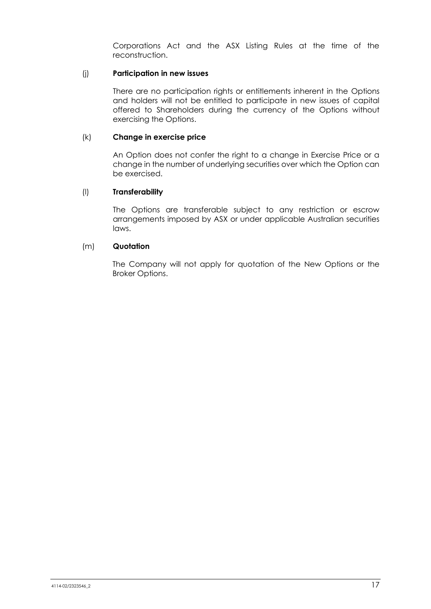Corporations Act and the ASX Listing Rules at the time of the reconstruction.

#### (j) **Participation in new issues**

There are no participation rights or entitlements inherent in the Options and holders will not be entitled to participate in new issues of capital offered to Shareholders during the currency of the Options without exercising the Options.

#### (k) **Change in exercise price**

An Option does not confer the right to a change in Exercise Price or a change in the number of underlying securities over which the Option can be exercised.

## (l) **Transferability**

The Options are transferable subject to any restriction or escrow arrangements imposed by ASX or under applicable Australian securities laws.

#### (m) **Quotation**

The Company will not apply for quotation of the New Options or the Broker Options.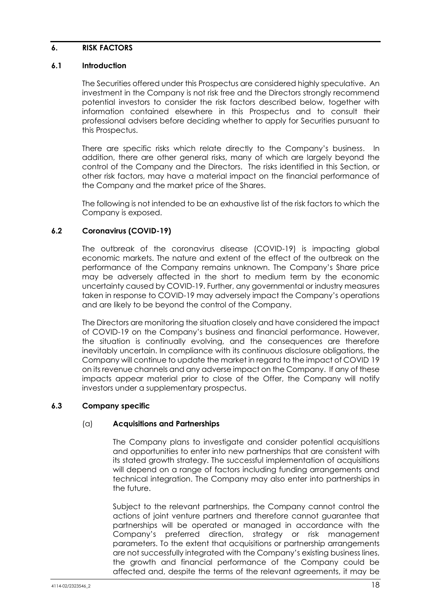#### <span id="page-19-0"></span>**6. RISK FACTORS**

## **6.1 Introduction**

The Securities offered under this Prospectus are considered highly speculative. An investment in the Company is not risk free and the Directors strongly recommend potential investors to consider the risk factors described below, together with information contained elsewhere in this Prospectus and to consult their professional advisers before deciding whether to apply for Securities pursuant to this Prospectus.

There are specific risks which relate directly to the Company's business. In addition, there are other general risks, many of which are largely beyond the control of the Company and the Directors. The risks identified in this Section, or other risk factors, may have a material impact on the financial performance of the Company and the market price of the Shares.

The following is not intended to be an exhaustive list of the risk factors to which the Company is exposed.

## **6.2 Coronavirus (COVID-19)**

The outbreak of the coronavirus disease (COVID-19) is impacting global economic markets. The nature and extent of the effect of the outbreak on the performance of the Company remains unknown. The Company's Share price may be adversely affected in the short to medium term by the economic uncertainty caused by COVID-19. Further, any governmental or industry measures taken in response to COVID-19 may adversely impact the Company's operations and are likely to be beyond the control of the Company.

The Directors are monitoring the situation closely and have considered the impact of COVID-19 on the Company's business and financial performance. However, the situation is continually evolving, and the consequences are therefore inevitably uncertain. In compliance with its continuous disclosure obligations, the Company will continue to update the market in regard to the impact of COVID 19 on its revenue channels and any adverse impact on the Company. If any of these impacts appear material prior to close of the Offer, the Company will notify investors under a supplementary prospectus.

#### **6.3 Company specific**

#### (a) **Acquisitions and Partnerships**

The Company plans to investigate and consider potential acquisitions and opportunities to enter into new partnerships that are consistent with its stated growth strategy. The successful implementation of acquisitions will depend on a range of factors including funding arrangements and technical integration. The Company may also enter into partnerships in the future.

Subject to the relevant partnerships, the Company cannot control the actions of joint venture partners and therefore cannot guarantee that partnerships will be operated or managed in accordance with the Company's preferred direction, strategy or risk management parameters. To the extent that acquisitions or partnership arrangements are not successfully integrated with the Company's existing business lines, the growth and financial performance of the Company could be affected and, despite the terms of the relevant agreements, it may be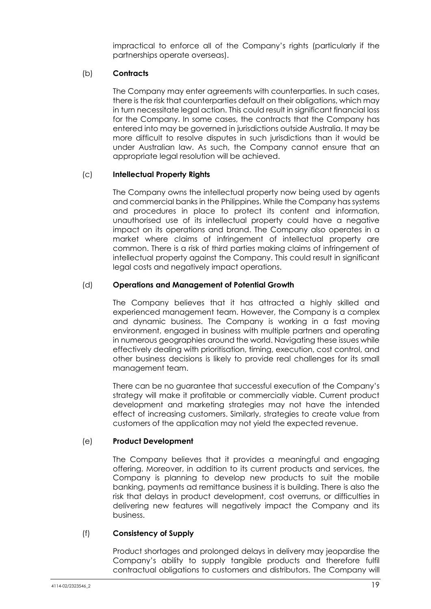impractical to enforce all of the Company's rights (particularly if the partnerships operate overseas).

#### (b) **Contracts**

The Company may enter agreements with counterparties. In such cases, there is the risk that counterparties default on their obligations, which may in turn necessitate legal action. This could result in significant financial loss for the Company. In some cases, the contracts that the Company has entered into may be governed in jurisdictions outside Australia. It may be more difficult to resolve disputes in such jurisdictions than it would be under Australian law. As such, the Company cannot ensure that an appropriate legal resolution will be achieved.

## (c) **Intellectual Property Rights**

The Company owns the intellectual property now being used by agents and commercial banks in the Philippines. While the Company has systems and procedures in place to protect its content and information, unauthorised use of its intellectual property could have a negative impact on its operations and brand. The Company also operates in a market where claims of infringement of intellectual property are common. There is a risk of third parties making claims of infringement of intellectual property against the Company. This could result in significant legal costs and negatively impact operations.

## (d) **Operations and Management of Potential Growth**

The Company believes that it has attracted a highly skilled and experienced management team. However, the Company is a complex and dynamic business. The Company is working in a fast moving environment, engaged in business with multiple partners and operating in numerous geographies around the world. Navigating these issues while effectively dealing with prioritisation, timing, execution, cost control, and other business decisions is likely to provide real challenges for its small management team.

There can be no guarantee that successful execution of the Company's strategy will make it profitable or commercially viable. Current product development and marketing strategies may not have the intended effect of increasing customers. Similarly, strategies to create value from customers of the application may not yield the expected revenue.

#### (e) **Product Development**

The Company believes that it provides a meaningful and engaging offering. Moreover, in addition to its current products and services, the Company is planning to develop new products to suit the mobile banking, payments ad remittance business it is building. There is also the risk that delays in product development, cost overruns, or difficulties in delivering new features will negatively impact the Company and its business.

#### (f) **Consistency of Supply**

Product shortages and prolonged delays in delivery may jeopardise the Company's ability to supply tangible products and therefore fulfil contractual obligations to customers and distributors. The Company will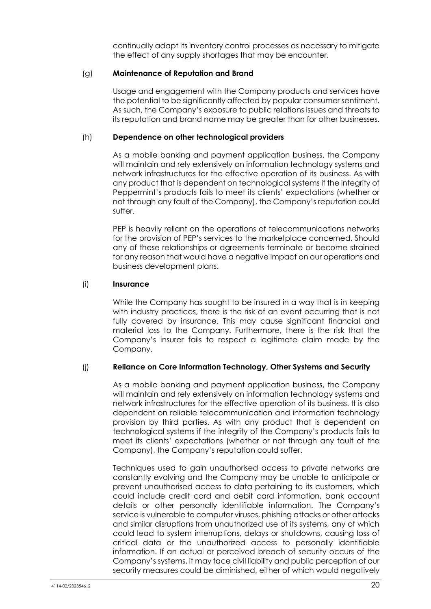continually adapt its inventory control processes as necessary to mitigate the effect of any supply shortages that may be encounter.

#### (g) **Maintenance of Reputation and Brand**

Usage and engagement with the Company products and services have the potential to be significantly affected by popular consumer sentiment. As such, the Company's exposure to public relations issues and threats to its reputation and brand name may be greater than for other businesses.

#### (h) **Dependence on other technological providers**

As a mobile banking and payment application business, the Company will maintain and rely extensively on information technology systems and network infrastructures for the effective operation of its business. As with any product that is dependent on technological systems if the integrity of Peppermint's products fails to meet its clients' expectations (whether or not through any fault of the Company), the Company's reputation could suffer.

PEP is heavily reliant on the operations of telecommunications networks for the provision of PEP's services to the marketplace concerned. Should any of these relationships or agreements terminate or become strained for any reason that would have a negative impact on our operations and business development plans.

## (i) **Insurance**

While the Company has sought to be insured in a way that is in keeping with industry practices, there is the risk of an event occurring that is not fully covered by insurance. This may cause significant financial and material loss to the Company. Furthermore, there is the risk that the Company's insurer fails to respect a legitimate claim made by the Company.

#### (j) **Reliance on Core Information Technology, Other Systems and Security**

As a mobile banking and payment application business, the Company will maintain and rely extensively on information technology systems and network infrastructures for the effective operation of its business. It is also dependent on reliable telecommunication and information technology provision by third parties. As with any product that is dependent on technological systems if the integrity of the Company's products fails to meet its clients' expectations (whether or not through any fault of the Company), the Company's reputation could suffer.

Techniques used to gain unauthorised access to private networks are constantly evolving and the Company may be unable to anticipate or prevent unauthorised access to data pertaining to its customers, which could include credit card and debit card information, bank account details or other personally identifiable information. The Company's service is vulnerable to computer viruses, phishing attacks or other attacks and similar disruptions from unauthorized use of its systems, any of which could lead to system interruptions, delays or shutdowns, causing loss of critical data or the unauthorized access to personally identifiable information. If an actual or perceived breach of security occurs of the Company's systems, it may face civil liability and public perception of our security measures could be diminished, either of which would negatively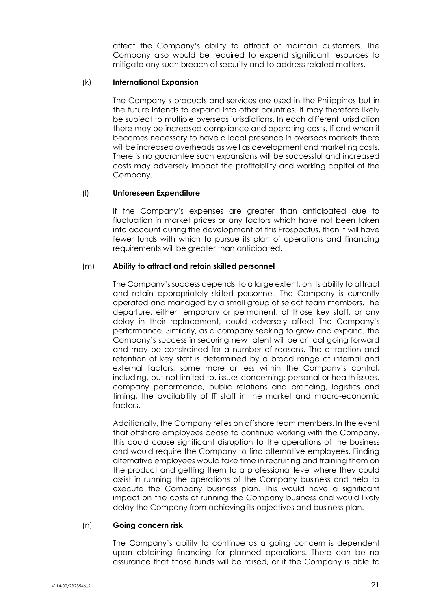affect the Company's ability to attract or maintain customers. The Company also would be required to expend significant resources to mitigate any such breach of security and to address related matters.

#### (k) **International Expansion**

The Company's products and services are used in the Philippines but in the future intends to expand into other countries. It may therefore likely be subject to multiple overseas jurisdictions. In each different jurisdiction there may be increased compliance and operating costs. If and when it becomes necessary to have a local presence in overseas markets there will be increased overheads as well as development and marketing costs. There is no guarantee such expansions will be successful and increased costs may adversely impact the profitability and working capital of the Company.

## (l) **Unforeseen Expenditure**

If the Company's expenses are greater than anticipated due to fluctuation in market prices or any factors which have not been taken into account during the development of this Prospectus, then it will have fewer funds with which to pursue its plan of operations and financing requirements will be greater than anticipated.

## (m) **Ability to attract and retain skilled personnel**

The Company's success depends, to a large extent, on its ability to attract and retain appropriately skilled personnel. The Company is currently operated and managed by a small group of select team members. The departure, either temporary or permanent, of those key staff, or any delay in their replacement, could adversely affect The Company's performance. Similarly, as a company seeking to grow and expand, the Company's success in securing new talent will be critical going forward and may be constrained for a number of reasons. The attraction and retention of key staff is determined by a broad range of internal and external factors, some more or less within the Company's control, including, but not limited to, issues concerning: personal or health issues, company performance, public relations and branding, logistics and timing, the availability of IT staff in the market and macro-economic factors.

Additionally, the Company relies on offshore team members. In the event that offshore employees cease to continue working with the Company, this could cause significant disruption to the operations of the business and would require the Company to find alternative employees. Finding alternative employees would take time in recruiting and training them on the product and getting them to a professional level where they could assist in running the operations of the Company business and help to execute the Company business plan. This would have a significant impact on the costs of running the Company business and would likely delay the Company from achieving its objectives and business plan.

#### (n) **Going concern risk**

The Company's ability to continue as a going concern is dependent upon obtaining financing for planned operations. There can be no assurance that those funds will be raised, or if the Company is able to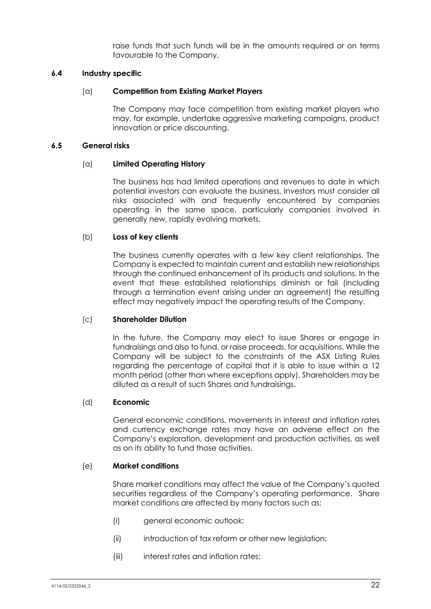raise funds that such funds will be in the amounts required or on terms favourable to the Company.

#### **6.4 Industry specific**

#### (a) **Competition from Existing Market Players**

The Company may face competition from existing market players who may, for example, undertake aggressive marketing campaigns, product innovation or price discounting.

#### **6.5 General risks**

#### (a) **Limited Operating History**

The business has had limited operations and revenues to date in which potential investors can evaluate the business. Investors must consider all risks associated with and frequently encountered by companies operating in the same space, particularly companies involved in generally new, rapidly evolving markets.

#### (b) **Loss of key clients**

The business currently operates with a few key client relationships. The Company is expected to maintain current and establish new relationships through the continued enhancement of its products and solutions. In the event that these established relationships diminish or fail (including through a termination event arising under an agreement) the resulting effect may negatively impact the operating results of the Company.

#### (c) **Shareholder Dilution**

In the future, the Company may elect to issue Shares or engage in fundraisings and also to fund, or raise proceeds, for acquisitions. While the Company will be subject to the constraints of the ASX Listing Rules regarding the percentage of capital that it is able to issue within a 12 month period (other than where exceptions apply), Shareholders may be diluted as a result of such Shares and fundraisings.

#### (d) **Economic**

General economic conditions, movements in interest and inflation rates and currency exchange rates may have an adverse effect on the Company's exploration, development and production activities, as well as on its ability to fund those activities.

#### (e) **Market conditions**

Share market conditions may affect the value of the Company's quoted securities regardless of the Company's operating performance. Share market conditions are affected by many factors such as:

- (i) general economic outlook;
- (ii) introduction of tax reform or other new leaislation;
- (iii) interest rates and inflation rates;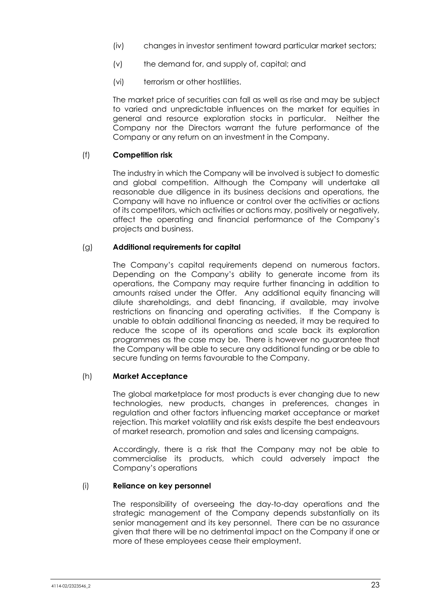- (iv) changes in investor sentiment toward particular market sectors;
- (v) the demand for, and supply of, capital; and
- (vi) terrorism or other hostilities.

The market price of securities can fall as well as rise and may be subject to varied and unpredictable influences on the market for equities in general and resource exploration stocks in particular. Neither the Company nor the Directors warrant the future performance of the Company or any return on an investment in the Company.

## (f) **Competition risk**

The industry in which the Company will be involved is subject to domestic and global competition. Although the Company will undertake all reasonable due diligence in its business decisions and operations, the Company will have no influence or control over the activities or actions of its competitors, which activities or actions may, positively or negatively, affect the operating and financial performance of the Company's projects and business.

#### (g) **Additional requirements for capital**

The Company's capital requirements depend on numerous factors. Depending on the Company's ability to generate income from its operations, the Company may require further financing in addition to amounts raised under the Offer. Any additional equity financing will dilute shareholdings, and debt financing, if available, may involve restrictions on financing and operating activities. If the Company is unable to obtain additional financing as needed, it may be required to reduce the scope of its operations and scale back its exploration programmes as the case may be. There is however no guarantee that the Company will be able to secure any additional funding or be able to secure funding on terms favourable to the Company.

#### (h) **Market Acceptance**

The global marketplace for most products is ever changing due to new technologies, new products, changes in preferences, changes in regulation and other factors influencing market acceptance or market rejection. This market volatility and risk exists despite the best endeavours of market research, promotion and sales and licensing campaigns.

Accordingly, there is a risk that the Company may not be able to commercialise its products, which could adversely impact the Company's operations

#### (i) **Reliance on key personnel**

The responsibility of overseeing the day-to-day operations and the strategic management of the Company depends substantially on its senior management and its key personnel. There can be no assurance given that there will be no detrimental impact on the Company if one or more of these employees cease their employment.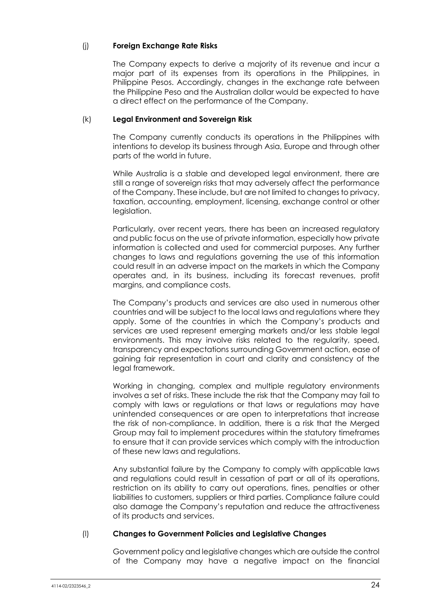## (j) **Foreign Exchange Rate Risks**

The Company expects to derive a majority of its revenue and incur a major part of its expenses from its operations in the Philippines, in Philippine Pesos. Accordingly, changes in the exchange rate between the Philippine Peso and the Australian dollar would be expected to have a direct effect on the performance of the Company.

#### (k) **Legal Environment and Sovereign Risk**

The Company currently conducts its operations in the Philippines with intentions to develop its business through Asia, Europe and through other parts of the world in future.

While Australia is a stable and developed legal environment, there are still a range of sovereign risks that may adversely affect the performance of the Company. These include, but are not limited to changes to privacy, taxation, accounting, employment, licensing, exchange control or other legislation.

Particularly, over recent years, there has been an increased regulatory and public focus on the use of private information, especially how private information is collected and used for commercial purposes. Any further changes to laws and regulations governing the use of this information could result in an adverse impact on the markets in which the Company operates and, in its business, including its forecast revenues, profit margins, and compliance costs.

The Company's products and services are also used in numerous other countries and will be subject to the local laws and regulations where they apply. Some of the countries in which the Company's products and services are used represent emerging markets and/or less stable legal environments. This may involve risks related to the regularity, speed, transparency and expectations surrounding Government action, ease of gaining fair representation in court and clarity and consistency of the legal framework.

Working in changing, complex and multiple regulatory environments involves a set of risks. These include the risk that the Company may fail to comply with laws or regulations or that laws or regulations may have unintended consequences or are open to interpretations that increase the risk of non-compliance. In addition, there is a risk that the Merged Group may fail to implement procedures within the statutory timeframes to ensure that it can provide services which comply with the introduction of these new laws and regulations.

Any substantial failure by the Company to comply with applicable laws and regulations could result in cessation of part or all of its operations, restriction on its ability to carry out operations, fines, penalties or other liabilities to customers, suppliers or third parties. Compliance failure could also damage the Company's reputation and reduce the attractiveness of its products and services.

#### (l) **Changes to Government Policies and Legislative Changes**

Government policy and legislative changes which are outside the control of the Company may have a negative impact on the financial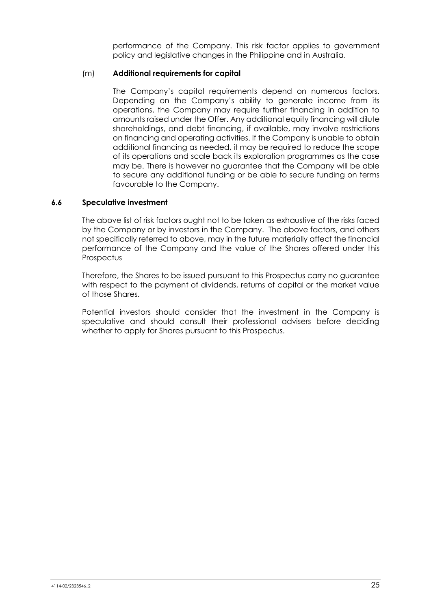performance of the Company. This risk factor applies to government policy and legislative changes in the Philippine and in Australia.

## (m) **Additional requirements for capital**

The Company's capital requirements depend on numerous factors. Depending on the Company's ability to generate income from its operations, the Company may require further financing in addition to amounts raised under the Offer. Any additional equity financing will dilute shareholdings, and debt financing, if available, may involve restrictions on financing and operating activities. If the Company is unable to obtain additional financing as needed, it may be required to reduce the scope of its operations and scale back its exploration programmes as the case may be. There is however no guarantee that the Company will be able to secure any additional funding or be able to secure funding on terms favourable to the Company.

## **6.6 Speculative investment**

The above list of risk factors ought not to be taken as exhaustive of the risks faced by the Company or by investors in the Company. The above factors, and others not specifically referred to above, may in the future materially affect the financial performance of the Company and the value of the Shares offered under this **Prospectus** 

Therefore, the Shares to be issued pursuant to this Prospectus carry no guarantee with respect to the payment of dividends, returns of capital or the market value of those Shares.

Potential investors should consider that the investment in the Company is speculative and should consult their professional advisers before deciding whether to apply for Shares pursuant to this Prospectus.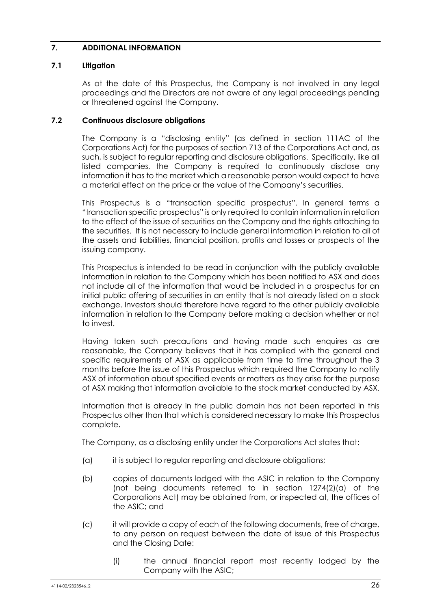## **7. ADDITIONAL INFORMATION**

## **7.1 Litigation**

As at the date of this Prospectus, the Company is not involved in any legal proceedings and the Directors are not aware of any legal proceedings pending or threatened against the Company.

#### **7.2 Continuous disclosure obligations**

The Company is a "disclosing entity" (as defined in section 111AC of the Corporations Act) for the purposes of section 713 of the Corporations Act and, as such, is subject to regular reporting and disclosure obligations. Specifically, like all listed companies, the Company is required to continuously disclose any information it has to the market which a reasonable person would expect to have a material effect on the price or the value of the Company's securities.

This Prospectus is a "transaction specific prospectus". In general terms a "transaction specific prospectus" is only required to contain information in relation to the effect of the issue of securities on the Company and the rights attaching to the securities. It is not necessary to include general information in relation to all of the assets and liabilities, financial position, profits and losses or prospects of the issuing company.

This Prospectus is intended to be read in conjunction with the publicly available information in relation to the Company which has been notified to ASX and does not include all of the information that would be included in a prospectus for an initial public offering of securities in an entity that is not already listed on a stock exchange. Investors should therefore have regard to the other publicly available information in relation to the Company before making a decision whether or not to invest.

Having taken such precautions and having made such enquires as are reasonable, the Company believes that it has complied with the general and specific requirements of ASX as applicable from time to time throughout the 3 months before the issue of this Prospectus which required the Company to notify ASX of information about specified events or matters as they arise for the purpose of ASX making that information available to the stock market conducted by ASX.

Information that is already in the public domain has not been reported in this Prospectus other than that which is considered necessary to make this Prospectus complete.

The Company, as a disclosing entity under the Corporations Act states that:

- (a) it is subject to regular reporting and disclosure obligations;
- (b) copies of documents lodged with the ASIC in relation to the Company (not being documents referred to in section 1274(2)(a) of the Corporations Act) may be obtained from, or inspected at, the offices of the ASIC; and
- (c) it will provide a copy of each of the following documents, free of charge, to any person on request between the date of issue of this Prospectus and the Closing Date:
	- (i) the annual financial report most recently lodged by the Company with the ASIC;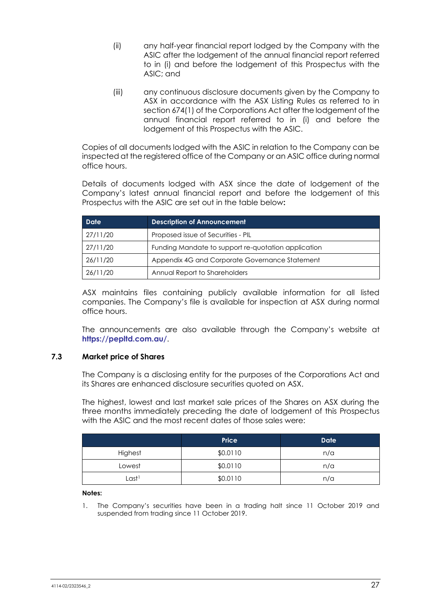- (ii) any half-year financial report lodged by the Company with the ASIC after the lodgement of the annual financial report referred to in (i) and before the lodgement of this Prospectus with the ASIC; and
- (iii) any continuous disclosure documents given by the Company to ASX in accordance with the ASX Listing Rules as referred to in section 674(1) of the Corporations Act after the lodgement of the annual financial report referred to in (i) and before the lodgement of this Prospectus with the ASIC.

Copies of all documents lodged with the ASIC in relation to the Company can be inspected at the registered office of the Company or an ASIC office during normal office hours.

Details of documents lodged with ASX since the date of lodgement of the Company's latest annual financial report and before the lodgement of this Prospectus with the ASIC are set out in the table below**:** 

| <b>Date</b> | <b>Description of Announcement</b>                  |  |
|-------------|-----------------------------------------------------|--|
| 27/11/20    | Proposed issue of Securities - PIL                  |  |
| 27/11/20    | Funding Mandate to support re-quotation application |  |
| 26/11/20    | Appendix 4G and Corporate Governance Statement      |  |
| 26/11/20    | Annual Report to Shareholders                       |  |

ASX maintains files containing publicly available information for all listed companies. The Company's file is available for inspection at ASX during normal office hours.

The announcements are also available through the Company's website at **<https://pepltd.com.au/>**.

#### **7.3 Market price of Shares**

The Company is a disclosing entity for the purposes of the Corporations Act and its Shares are enhanced disclosure securities quoted on ASX.

The highest, lowest and last market sale prices of the Shares on ASX during the three months immediately preceding the date of lodgement of this Prospectus with the ASIC and the most recent dates of those sales were:

| <b>Price</b> |          | <b>Date</b> |  |
|--------------|----------|-------------|--|
| Highest      | \$0.0110 | n/a         |  |
| Lowest       | \$0.0110 | n/a         |  |
| Last1        | \$0.0110 | n/a         |  |

**Notes:**

1. The Company's securities have been in a trading halt since 11 October 2019 and suspended from trading since 11 October 2019.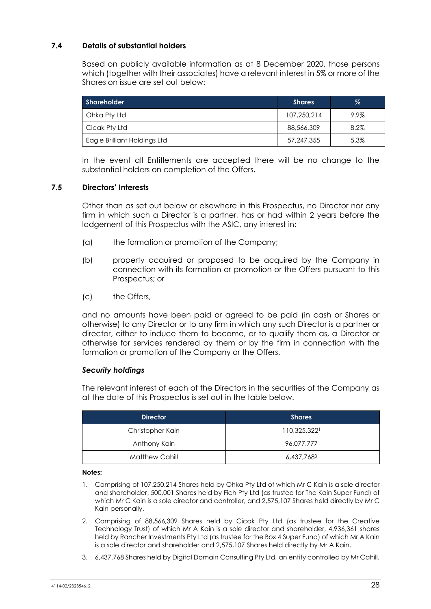#### **7.4 Details of substantial holders**

Based on publicly available information as at 8 December 2020, those persons which (together with their associates) have a relevant interest in 5% or more of the Shares on issue are set out below:

| <b>Shareholder</b>           | <b>Shares</b> | %       |
|------------------------------|---------------|---------|
| Ohka Pty Ltd                 | 107.250.214   | $9.9\%$ |
| Cicak Pty Ltd                | 88,566,309    | 8.2%    |
| Eagle Brilliant Holdings Ltd | 57,247,355    | 5.3%    |

In the event all Entitlements are accepted there will be no change to the substantial holders on completion of the Offers.

#### **7.5 Directors' Interests**

Other than as set out below or elsewhere in this Prospectus, no Director nor any firm in which such a Director is a partner, has or had within 2 years before the lodgement of this Prospectus with the ASIC, any interest in:

- (a) the formation or promotion of the Company;
- (b) property acquired or proposed to be acquired by the Company in connection with its formation or promotion or the Offers pursuant to this Prospectus; or
- (c) the Offers,

and no amounts have been paid or agreed to be paid (in cash or Shares or otherwise) to any Director or to any firm in which any such Director is a partner or director, either to induce them to become, or to qualify them as, a Director or otherwise for services rendered by them or by the firm in connection with the formation or promotion of the Company or the Offers.

#### *Security holdings*

The relevant interest of each of the Directors in the securities of the Company as at the date of this Prospectus is set out in the table below.

| <b>Director</b>  | <b>Shares</b> |
|------------------|---------------|
| Christopher Kain | 110,325,3221  |
| Anthony Kain     | 96,077,777    |
| Matthew Cahill   | 6,437,7683    |

#### **Notes:**

- 1. Comprising of 107,250,214 Shares held by Ohka Pty Ltd of which Mr C Kain is a sole director and shareholder, 500,001 Shares held by Fich Pty Ltd (as trustee for The Kain Super Fund) of which Mr C Kain is a sole director and controller, and 2,575,107 Shares held directly by Mr C Kain personally.
- 2. Comprising of 88,566,309 Shares held by Cicak Pty Ltd (as trustee for the Creative Technology Trust) of which Mr A Kain is a sole director and shareholder, 4,936,361 shares held by Rancher Investments Pty Ltd (as trustee for the Box 4 Super Fund) of which Mr A Kain is a sole director and shareholder and 2,575,107 Shares held directly by Mr A Kain.
- 3. 6,437,768 Shares held by Digital Domain Consulting Pty Ltd, an entity controlled by Mr Cahill.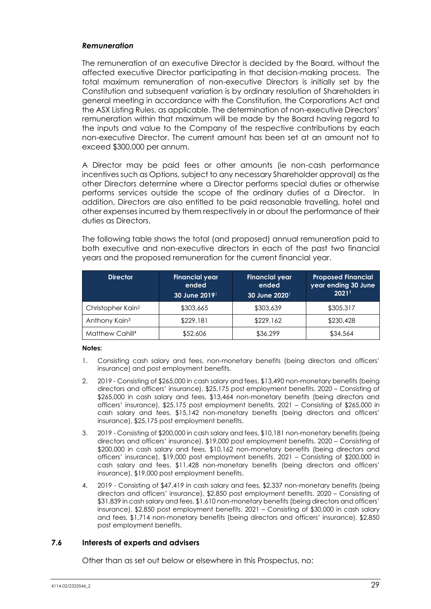#### *Remuneration*

The remuneration of an executive Director is decided by the Board, without the affected executive Director participating in that decision-making process. The total maximum remuneration of non-executive Directors is initially set by the Constitution and subsequent variation is by ordinary resolution of Shareholders in general meeting in accordance with the Constitution, the Corporations Act and the ASX Listing Rules, as applicable. The determination of non-executive Directors' remuneration within that maximum will be made by the Board having regard to the inputs and value to the Company of the respective contributions by each non-executive Director. The current amount has been set at an amount not to exceed \$300,000 per annum.

A Director may be paid fees or other amounts (ie non-cash performance incentives such as Options, subject to any necessary Shareholder approval) as the other Directors determine where a Director performs special duties or otherwise performs services outside the scope of the ordinary duties of a Director. In addition, Directors are also entitled to be paid reasonable travelling, hotel and other expenses incurred by them respectively in or about the performance of their duties as Directors.

The following table shows the total (and proposed) annual remuneration paid to both executive and non-executive directors in each of the past two financial years and the proposed remuneration for the current financial year.

| <b>Director</b>               | <b>Financial year</b><br>ended<br>30 June 2019 | <b>Financial year</b><br>ended<br>30 June 2020 <sup>1</sup> | <b>Proposed Financial</b><br>year ending 30 June<br>20211 |
|-------------------------------|------------------------------------------------|-------------------------------------------------------------|-----------------------------------------------------------|
| Christopher Kain <sup>2</sup> | \$303,665                                      | \$303,639                                                   | \$305,317                                                 |
| Anthony Kain <sup>3</sup>     | \$229,181                                      | \$229,162                                                   | \$230,428                                                 |
| Matthew Cahill <sup>4</sup>   | \$52,606                                       | \$36,299                                                    | \$34,564                                                  |

#### **Notes:**

- 1. Consisting cash salary and fees, non-monetary benefits (being directors and officers' insurance) and post employment benefits.
- 2. 2019 Consisting of \$265,000 in cash salary and fees, \$13,490 non-monetary benefits (being directors and officers' insurance), \$25,175 post employment benefits. 2020 – Consisting of \$265,000 in cash salary and fees, \$13,464 non-monetary benefits (being directors and officers' insurance), \$25,175 post employment benefits. 2021 – Consisting of \$265,000 in cash salary and fees, \$15,142 non-monetary benefits (being directors and officers' insurance), \$25,175 post employment benefits.
- 3. 2019 Consisting of \$200,000 in cash salary and fees, \$10,181 non-monetary benefits (being directors and officers' insurance), \$19,000 post employment benefits. 2020 – Consisting of \$200,000 in cash salary and fees, \$10,162 non-monetary benefits (being directors and officers' insurance), \$19,000 post employment benefits. 2021 – Consisting of \$200,000 in cash salary and fees, \$11,428 non-monetary benefits (being directors and officers' insurance), \$19,000 post employment benefits.
- 4. 2019 Consisting of \$47,419 in cash salary and fees, \$2,337 non-monetary benefits (being directors and officers' insurance), \$2,850 post employment benefits. 2020 – Consisting of \$31,839 in cash salary and fees, \$1,610 non-monetary benefits (being directors and officers' insurance), \$2,850 post employment benefits. 2021 – Consisting of \$30,000 in cash salary and fees, \$1,714 non-monetary benefits (being directors and officers' insurance), \$2,850 post employment benefits.

#### **7.6 Interests of experts and advisers**

Other than as set out below or elsewhere in this Prospectus, no: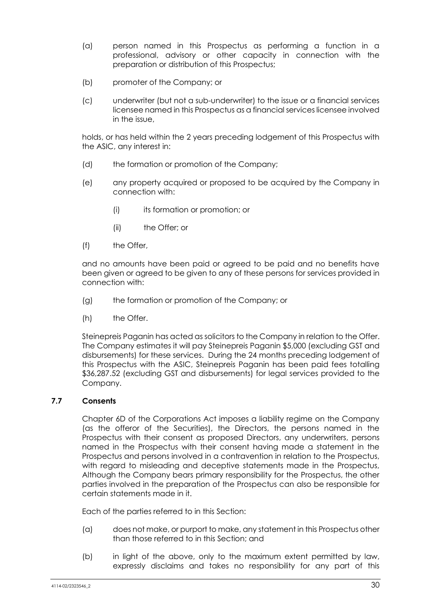- (a) person named in this Prospectus as performing a function in a professional, advisory or other capacity in connection with the preparation or distribution of this Prospectus;
- (b) promoter of the Company; or
- (c) underwriter (but not a sub-underwriter) to the issue or a financial services licensee named in this Prospectus as a financial services licensee involved in the issue,

holds, or has held within the 2 years preceding lodgement of this Prospectus with the ASIC, any interest in:

- (d) the formation or promotion of the Company;
- (e) any property acquired or proposed to be acquired by the Company in connection with:
	- (i) its formation or promotion; or
	- (ii) the Offer; or
- (f) the Offer,

and no amounts have been paid or agreed to be paid and no benefits have been given or agreed to be given to any of these persons for services provided in connection with:

- (g) the formation or promotion of the Company; or
- (h) the Offer.

Steinepreis Paganin has acted as solicitors to the Company in relation to the Offer. The Company estimates it will pay Steinepreis Paganin \$5,000 (excluding GST and disbursements) for these services. During the 24 months preceding lodgement of this Prospectus with the ASIC, Steinepreis Paganin has been paid fees totalling \$36,287.52 (excluding GST and disbursements) for legal services provided to the Company.

#### **7.7 Consents**

Chapter 6D of the Corporations Act imposes a liability regime on the Company (as the offeror of the Securities), the Directors, the persons named in the Prospectus with their consent as proposed Directors, any underwriters, persons named in the Prospectus with their consent having made a statement in the Prospectus and persons involved in a contravention in relation to the Prospectus, with regard to misleading and deceptive statements made in the Prospectus, Although the Company bears primary responsibility for the Prospectus, the other parties involved in the preparation of the Prospectus can also be responsible for certain statements made in it.

Each of the parties referred to in this Section:

- (a) does not make, or purport to make, any statement in this Prospectus other than those referred to in this Section; and
- (b) in light of the above, only to the maximum extent permitted by law, expressly disclaims and takes no responsibility for any part of this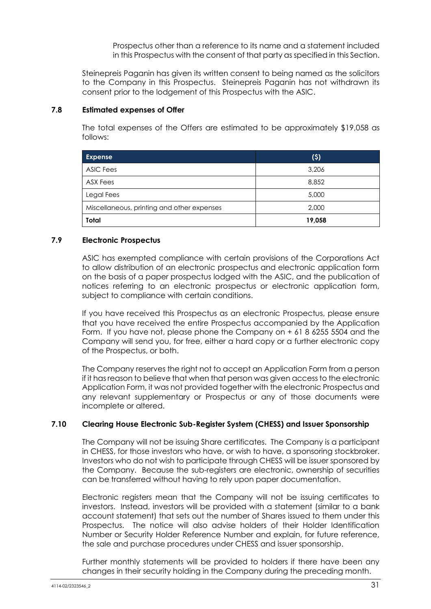Prospectus other than a reference to its name and a statement included in this Prospectus with the consent of that party as specified in this Section.

Steinepreis Paganin has given its written consent to being named as the solicitors to the Company in this Prospectus. Steinepreis Paganin has not withdrawn its consent prior to the lodgement of this Prospectus with the ASIC.

#### **7.8 Estimated expenses of Offer**

The total expenses of the Offers are estimated to be approximately \$19,058 as follows:

| <b>Expense</b>                             | (5)    |
|--------------------------------------------|--------|
| <b>ASIC Fees</b>                           | 3,206  |
| ASX Fees                                   | 8,852  |
| <b>Legal Fees</b>                          | 5,000  |
| Miscellaneous, printing and other expenses | 2,000  |
| <b>Total</b>                               | 19,058 |

#### **7.9 Electronic Prospectus**

ASIC has exempted compliance with certain provisions of the Corporations Act to allow distribution of an electronic prospectus and electronic application form on the basis of a paper prospectus lodged with the ASIC, and the publication of notices referring to an electronic prospectus or electronic application form, subject to compliance with certain conditions.

If you have received this Prospectus as an electronic Prospectus, please ensure that you have received the entire Prospectus accompanied by the Application Form. If you have not, please phone the Company on + 61 8 6255 5504 and the Company will send you, for free, either a hard copy or a further electronic copy of the Prospectus, or both.

The Company reserves the right not to accept an Application Form from a person if it has reason to believe that when that person was given access to the electronic Application Form, it was not provided together with the electronic Prospectus and any relevant supplementary or Prospectus or any of those documents were incomplete or altered.

#### **7.10 Clearing House Electronic Sub-Register System (CHESS) and Issuer Sponsorship**

The Company will not be issuing Share certificates. The Company is a participant in CHESS, for those investors who have, or wish to have, a sponsoring stockbroker. Investors who do not wish to participate through CHESS will be issuer sponsored by the Company. Because the sub-registers are electronic, ownership of securities can be transferred without having to rely upon paper documentation.

Electronic registers mean that the Company will not be issuing certificates to investors. Instead, investors will be provided with a statement (similar to a bank account statement) that sets out the number of Shares issued to them under this Prospectus. The notice will also advise holders of their Holder Identification Number or Security Holder Reference Number and explain, for future reference, the sale and purchase procedures under CHESS and issuer sponsorship.

Further monthly statements will be provided to holders if there have been any changes in their security holding in the Company during the preceding month.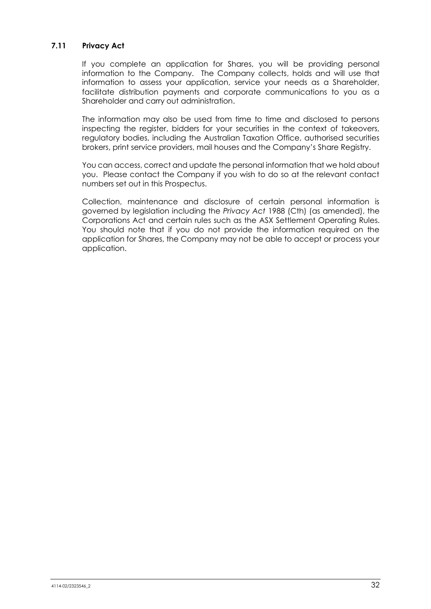## **7.11 Privacy Act**

If you complete an application for Shares, you will be providing personal information to the Company. The Company collects, holds and will use that information to assess your application, service your needs as a Shareholder, facilitate distribution payments and corporate communications to you as a Shareholder and carry out administration.

The information may also be used from time to time and disclosed to persons inspecting the register, bidders for your securities in the context of takeovers, regulatory bodies, including the Australian Taxation Office, authorised securities brokers, print service providers, mail houses and the Company's Share Registry.

You can access, correct and update the personal information that we hold about you. Please contact the Company if you wish to do so at the relevant contact numbers set out in this Prospectus.

Collection, maintenance and disclosure of certain personal information is governed by legislation including the *Privacy Act* 1988 (Cth) (as amended), the Corporations Act and certain rules such as the ASX Settlement Operating Rules. You should note that if you do not provide the information required on the application for Shares, the Company may not be able to accept or process your application.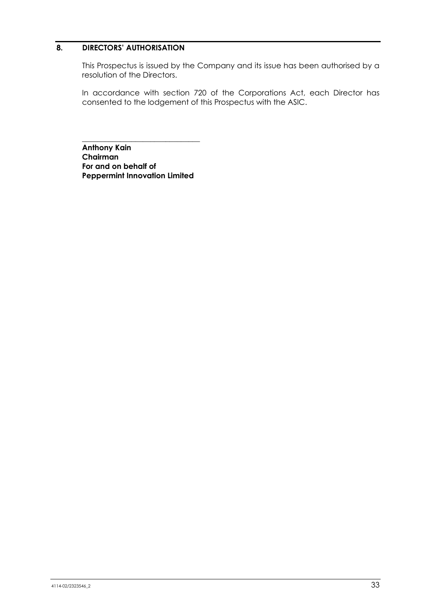## **8. DIRECTORS' AUTHORISATION**

This Prospectus is issued by the Company and its issue has been authorised by a resolution of the Directors.

In accordance with section 720 of the Corporations Act, each Director has consented to the lodgement of this Prospectus with the ASIC.

**Anthony Kain Chairman For and on behalf of Peppermint Innovation Limited**

\_\_\_\_\_\_\_\_\_\_\_\_\_\_\_\_\_\_\_\_\_\_\_\_\_\_\_\_\_\_\_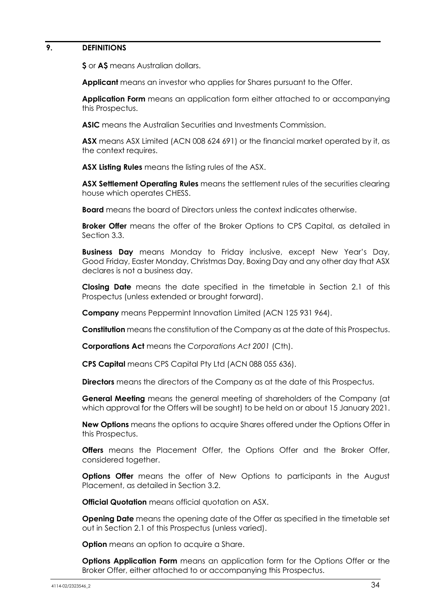## **9. DEFINITIONS**

**\$** or **A\$** means Australian dollars.

**Applicant** means an investor who applies for Shares pursuant to the Offer.

**Application Form** means an application form either attached to or accompanying this Prospectus.

**ASIC** means the Australian Securities and Investments Commission.

**ASX** means ASX Limited (ACN 008 624 691) or the financial market operated by it, as the context requires.

**ASX Listing Rules** means the listing rules of the ASX.

**ASX Settlement Operating Rules** means the settlement rules of the securities clearing house which operates CHESS.

**Board** means the board of Directors unless the context indicates otherwise.

**Broker Offer** means the offer of the Broker Options to CPS Capital, as detailed in Section 3.3.

**Business Day** means Monday to Friday inclusive, except New Year's Day, Good Friday, Easter Monday, Christmas Day, Boxing Day and any other day that ASX declares is not a business day.

**Closing Date** means the date specified in the timetable in Section [2.1](#page-3-0) of this Prospectus (unless extended or brought forward).

**Company** means Peppermint Innovation Limited (ACN 125 931 964).

**Constitution** means the constitution of the Company as at the date of this Prospectus.

**Corporations Act** means the *Corporations Act 2001* (Cth).

**CPS Capital** means CPS Capital Pty Ltd (ACN 088 055 636).

**Directors** means the directors of the Company as at the date of this Prospectus.

**General Meeting** means the general meeting of shareholders of the Company (at which approval for the Offers will be sought) to be held on or about 15 January 2021.

**New Options** means the options to acquire Shares offered under the Options Offer in this Prospectus.

**Offers** means the Placement Offer, the Options Offer and the Broker Offer, considered together.

**Options Offer** means the offer of New Options to participants in the August Placement, as detailed in Section [3.2.](#page-6-1)

**Official Quotation** means official quotation on ASX.

**Opening Date** means the opening date of the Offer as specified in the timetable set out in Section [2.1](#page-3-0) of this Prospectus (unless varied).

**Option** means an option to acquire a Share.

**Options Application Form** means an application form for the Options Offer or the Broker Offer, either attached to or accompanying this Prospectus.